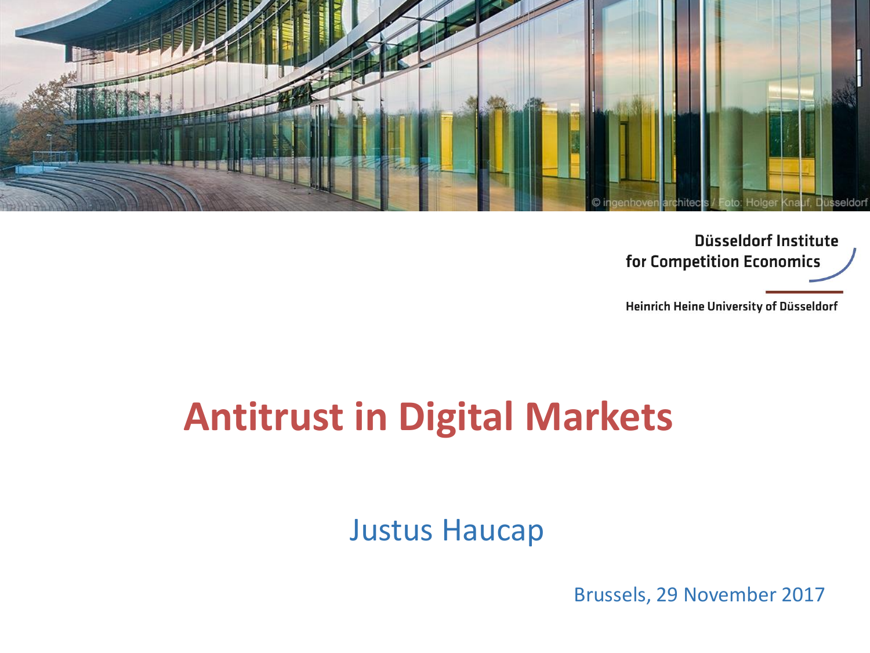

Düsseldorf Institute for Competition Economics

Heinrich Heine University of Düsseldorf

# **Antitrust in Digital Markets**

Justus Haucap

Brussels, 29 November 2017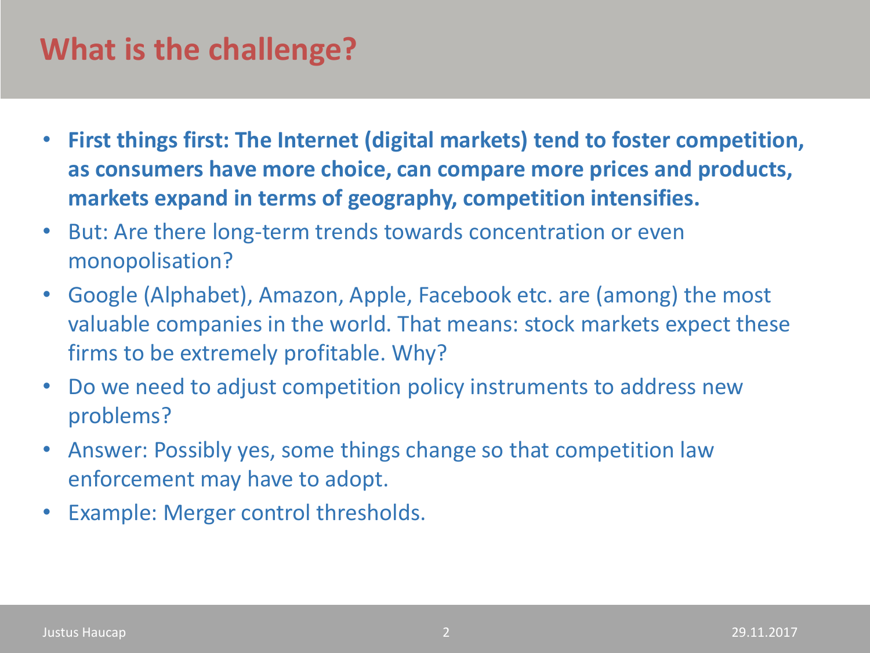### **What is the challenge?**

- **First things first: The Internet (digital markets) tend to foster competition, as consumers have more choice, can compare more prices and products, markets expand in terms of geography, competition intensifies.**
- But: Are there long-term trends towards concentration or even monopolisation?
- Google (Alphabet), Amazon, Apple, Facebook etc. are (among) the most valuable companies in the world. That means: stock markets expect these firms to be extremely profitable. Why?
- Do we need to adjust competition policy instruments to address new problems?
- Answer: Possibly yes, some things change so that competition law enforcement may have to adopt.
- Example: Merger control thresholds.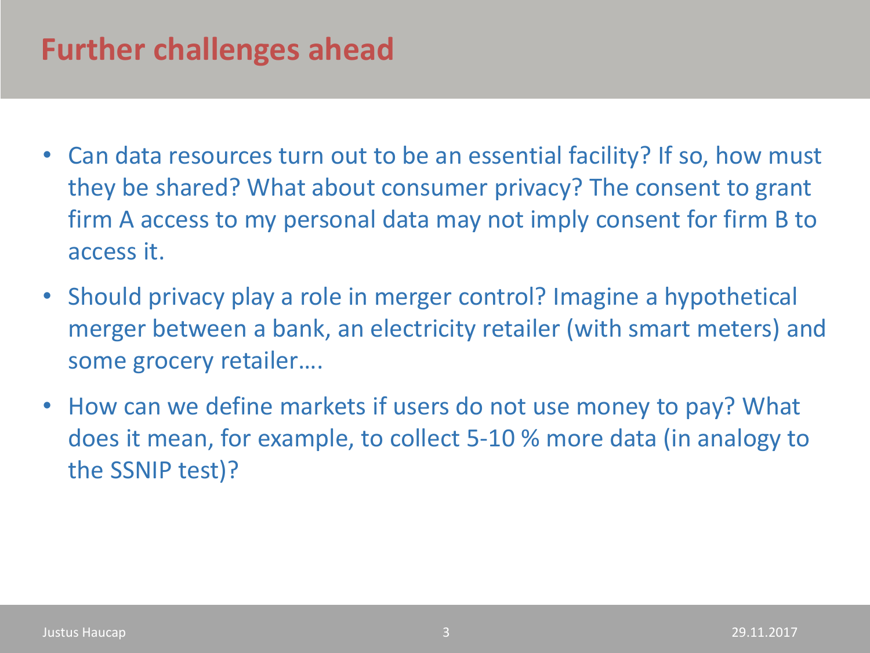### **Further challenges ahead**

- Can data resources turn out to be an essential facility? If so, how must they be shared? What about consumer privacy? The consent to grant firm A access to my personal data may not imply consent for firm B to access it.
- Should privacy play a role in merger control? Imagine a hypothetical merger between a bank, an electricity retailer (with smart meters) and some grocery retailer….
- How can we define markets if users do not use money to pay? What does it mean, for example, to collect 5-10 % more data (in analogy to the SSNIP test)?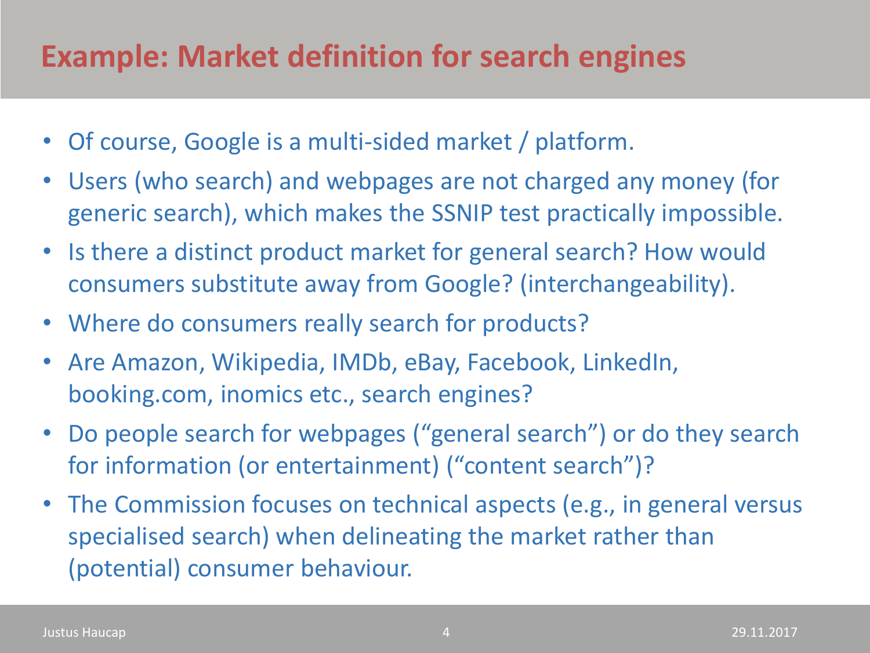### **Example: Market definition for search engines**

- Of course, Google is a multi-sided market / platform.
- Users (who search) and webpages are not charged any money (for generic search), which makes the SSNIP test practically impossible.
- Is there a distinct product market for general search? How would consumers substitute away from Google? (interchangeability).
- Where do consumers really search for products?
- Are Amazon, Wikipedia, IMDb, eBay, Facebook, LinkedIn, booking.com, inomics etc., search engines?
- Do people search for webpages ("general search") or do they search for information (or entertainment) ("content search")?
- The Commission focuses on technical aspects (e.g., in general versus specialised search) when delineating the market rather than (potential) consumer behaviour.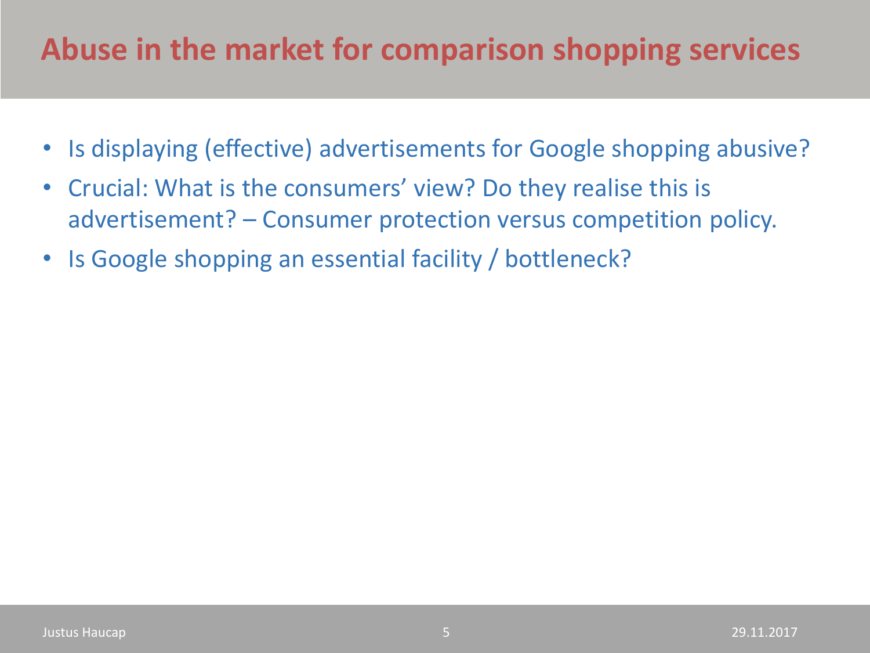### **Abuse in the market for comparison shopping services**

- Is displaying (effective) advertisements for Google shopping abusive?
- Crucial: What is the consumers' view? Do they realise this is advertisement? – Consumer protection versus competition policy.
- Is Google shopping an essential facility / bottleneck?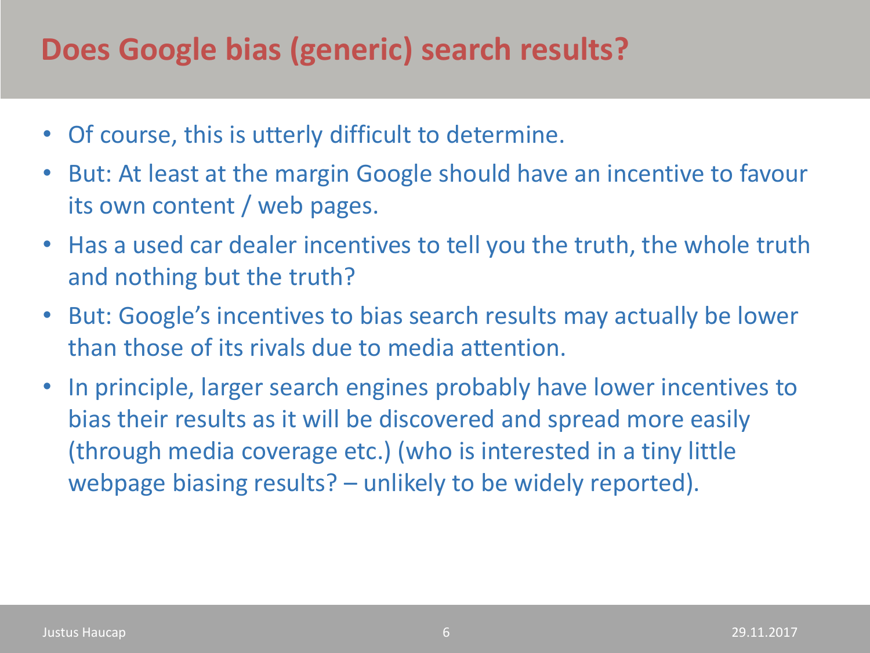### **Does Google bias (generic) search results?**

- Of course, this is utterly difficult to determine.
- But: At least at the margin Google should have an incentive to favour its own content / web pages.
- Has a used car dealer incentives to tell you the truth, the whole truth and nothing but the truth?
- But: Google's incentives to bias search results may actually be lower than those of its rivals due to media attention.
- In principle, larger search engines probably have lower incentives to bias their results as it will be discovered and spread more easily (through media coverage etc.) (who is interested in a tiny little webpage biasing results? – unlikely to be widely reported).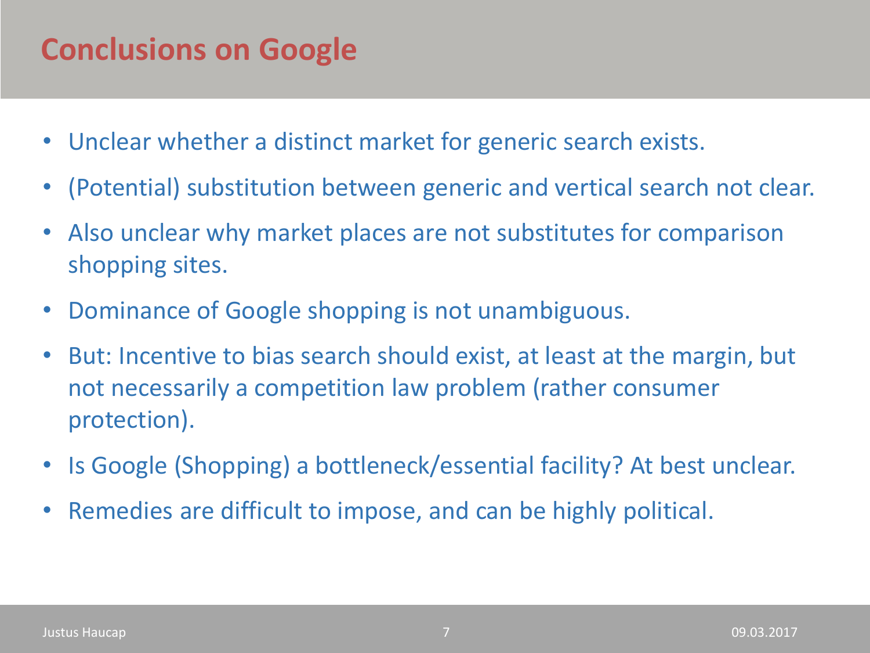### **Conclusions on Google**

- Unclear whether a distinct market for generic search exists.
- (Potential) substitution between generic and vertical search not clear.
- Also unclear why market places are not substitutes for comparison shopping sites.
- Dominance of Google shopping is not unambiguous.
- But: Incentive to bias search should exist, at least at the margin, but not necessarily a competition law problem (rather consumer protection).
- Is Google (Shopping) a bottleneck/essential facility? At best unclear.
- Remedies are difficult to impose, and can be highly political.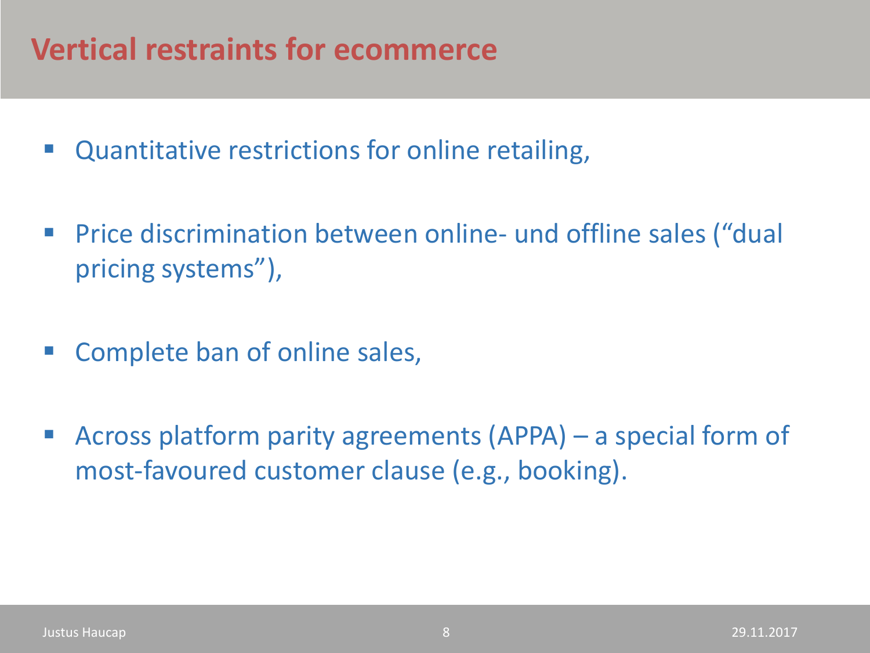### **Vertical restraints for ecommerce**

- Quantitative restrictions for online retailing,
- Price discrimination between online- und offline sales ("dual pricing systems"),
- Complete ban of online sales,
- Across platform parity agreements (APPA) a special form of most-favoured customer clause (e.g., booking).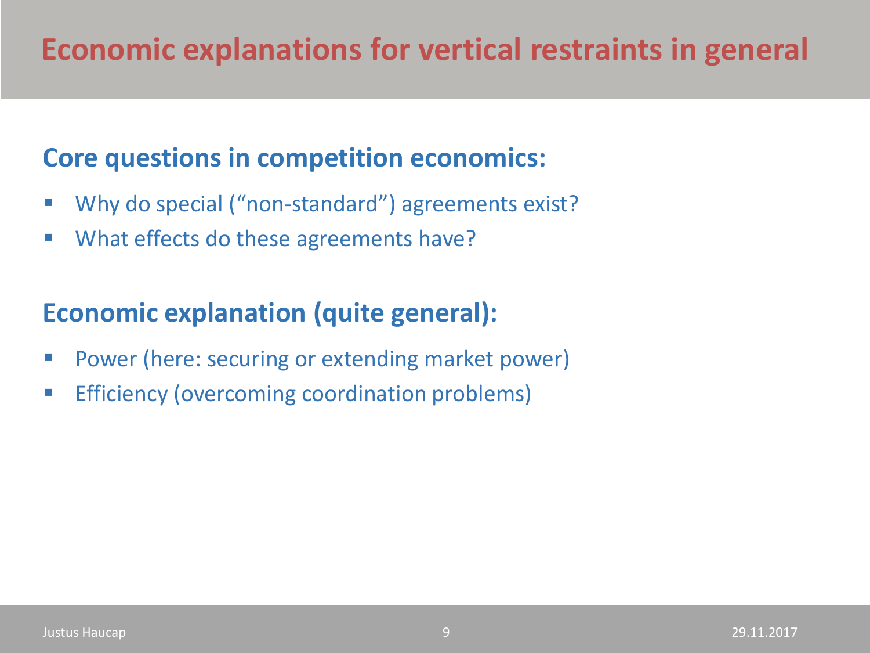### **Economic explanations for vertical restraints in general**

#### **Core questions in competition economics:**

- Why do special ("non-standard") agreements exist?
- What effects do these agreements have?

#### **Economic explanation (quite general):**

- Power (here: securing or extending market power)
- Efficiency (overcoming coordination problems)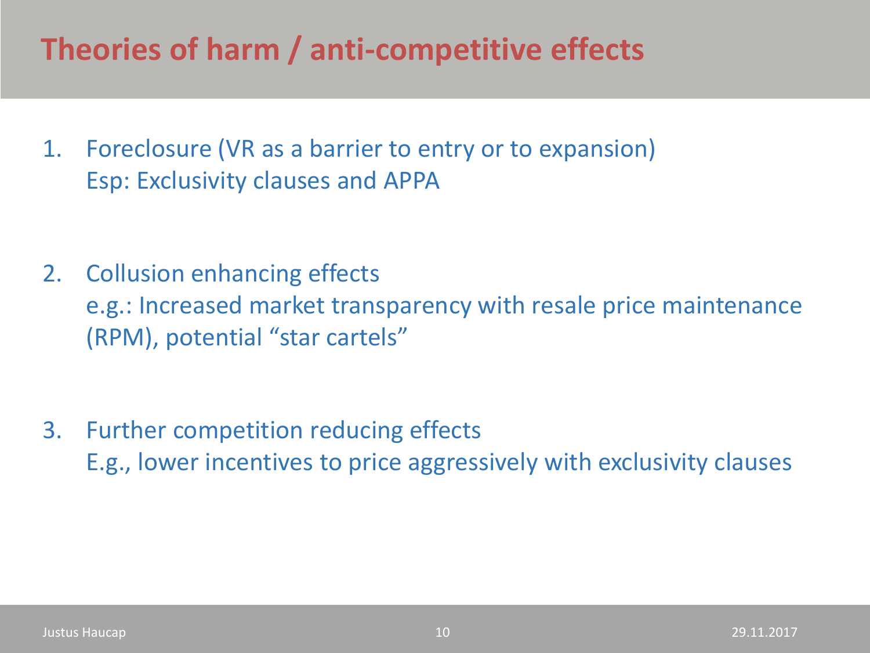### **Theories of harm / anti-competitive effects**

1. Foreclosure (VR as a barrier to entry or to expansion) Esp: Exclusivity clauses and APPA

- 2. Collusion enhancing effects e.g.: Increased market transparency with resale price maintenance (RPM), potential "star cartels"
- 3. Further competition reducing effects E.g., lower incentives to price aggressively with exclusivity clauses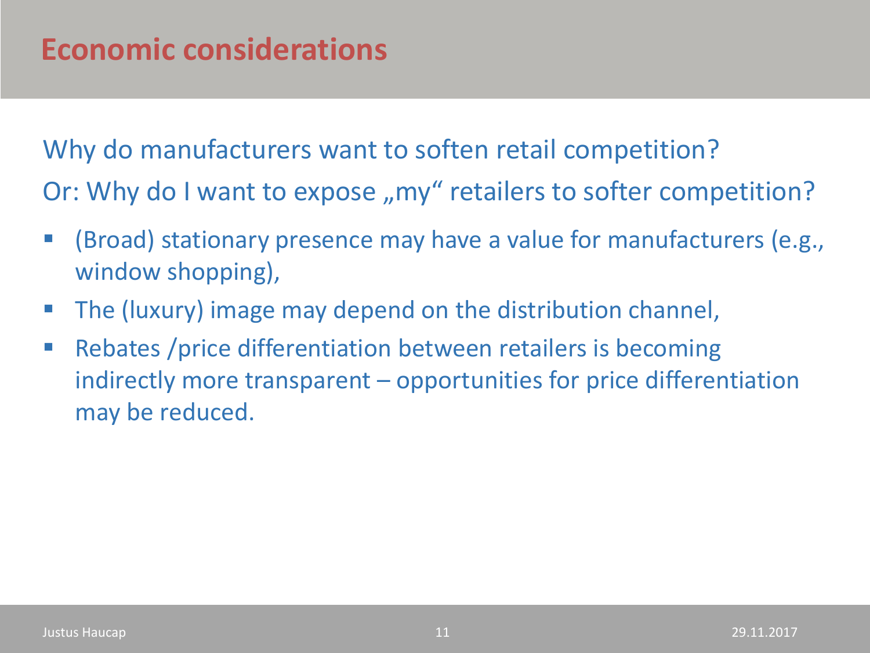Why do manufacturers want to soften retail competition? Or: Why do I want to expose "my" retailers to softer competition?

- (Broad) stationary presence may have a value for manufacturers (e.g., window shopping),
- The (luxury) image may depend on the distribution channel,
- Rebates /price differentiation between retailers is becoming indirectly more transparent – opportunities for price differentiation may be reduced.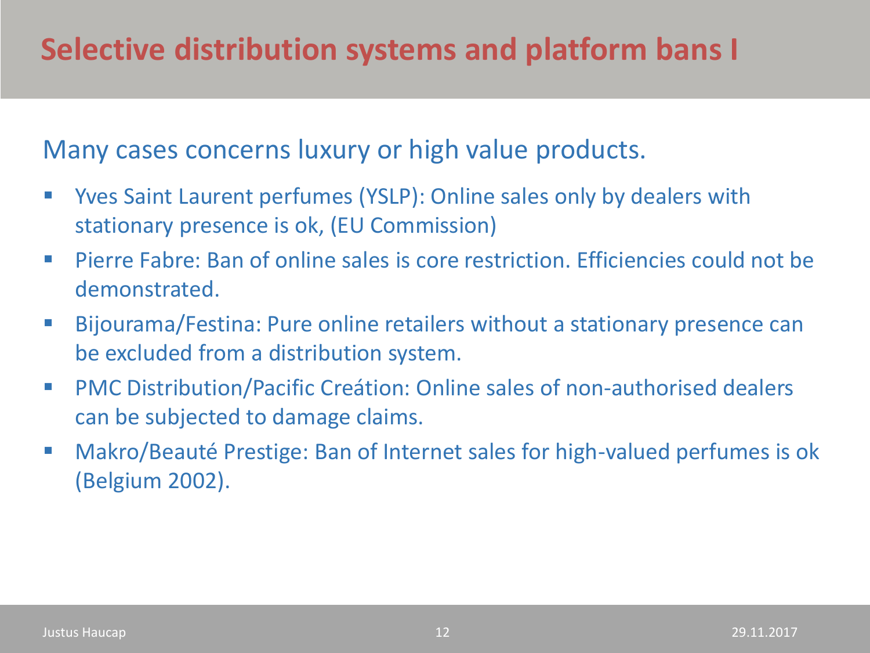#### Many cases concerns luxury or high value products.

- Yves Saint Laurent perfumes (YSLP): Online sales only by dealers with stationary presence is ok, (EU Commission)
- Pierre Fabre: Ban of online sales is core restriction. Efficiencies could not be demonstrated.
- Bijourama/Festina: Pure online retailers without a stationary presence can be excluded from a distribution system.
- PMC Distribution/Pacific Creátion: Online sales of non-authorised dealers can be subjected to damage claims.
- Makro/Beauté Prestige: Ban of Internet sales for high-valued perfumes is ok (Belgium 2002).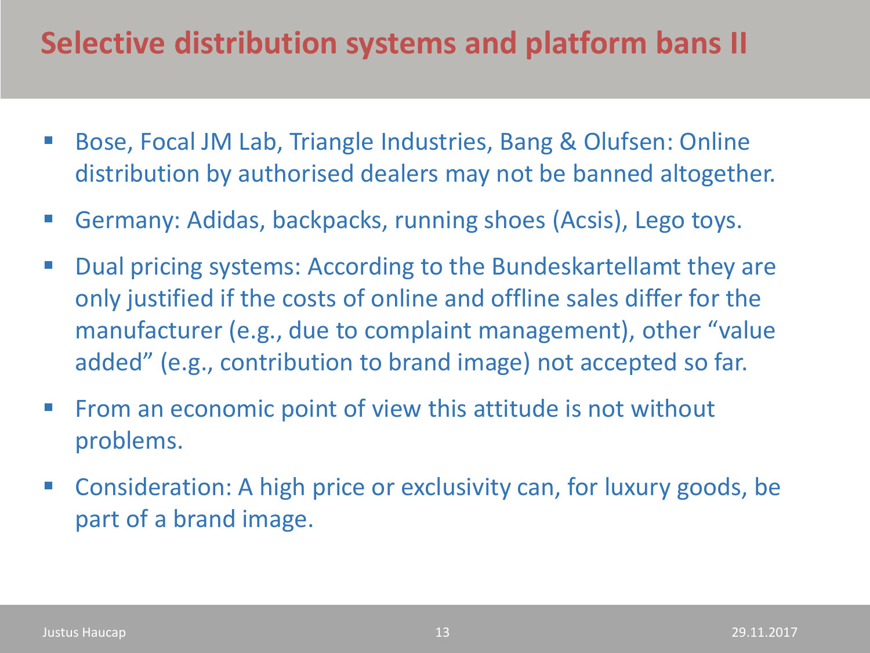### **Selective distribution systems and platform bans II**

- Bose, Focal JM Lab, Triangle Industries, Bang & Olufsen: Online distribution by authorised dealers may not be banned altogether.
- Germany: Adidas, backpacks, running shoes (Acsis), Lego toys.
- Dual pricing systems: According to the Bundeskartellamt they are only justified if the costs of online and offline sales differ for the manufacturer (e.g., due to complaint management), other "value added" (e.g., contribution to brand image) not accepted so far.
- From an economic point of view this attitude is not without problems.
- Consideration: A high price or exclusivity can, for luxury goods, be part of a brand image.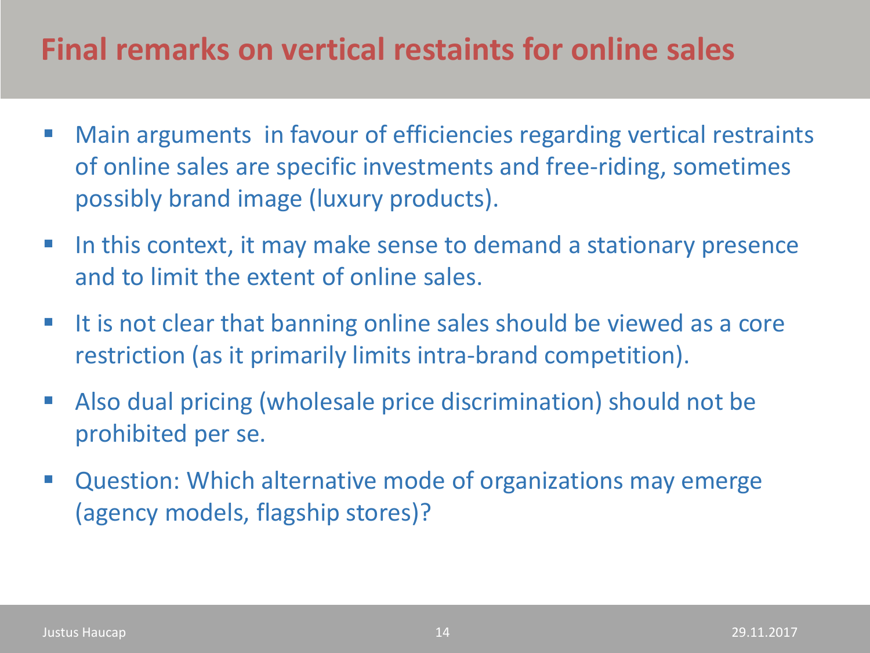### **Final remarks on vertical restaints for online sales**

- Main arguments in favour of efficiencies regarding vertical restraints of online sales are specific investments and free-riding, sometimes possibly brand image (luxury products).
- In this context, it may make sense to demand a stationary presence and to limit the extent of online sales.
- It is not clear that banning online sales should be viewed as a core restriction (as it primarily limits intra-brand competition).
- Also dual pricing (wholesale price discrimination) should not be prohibited per se.
- **E** Question: Which alternative mode of organizations may emerge (agency models, flagship stores)?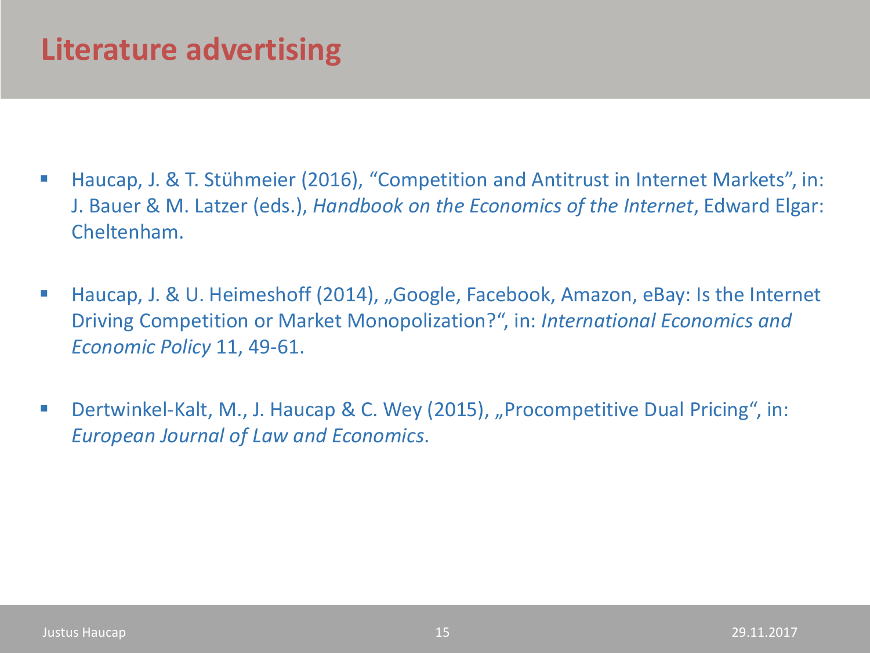### **Literature advertising**

- Haucap, J. & T. Stühmeier (2016), "Competition and Antitrust in Internet Markets", in: J. Bauer & M. Latzer (eds.), *Handbook on the Economics of the Internet*, Edward Elgar: Cheltenham.
- Haucap, J. & U. Heimeshoff (2014), "Google, Facebook, Amazon, eBay: Is the Internet Driving Competition or Market Monopolization?", in: *International Economics and Economic Policy* 11, 49-61.
- Dertwinkel-Kalt, M., J. Haucap & C. Wey (2015), "Procompetitive Dual Pricing", in: *European Journal of Law and Economics*.